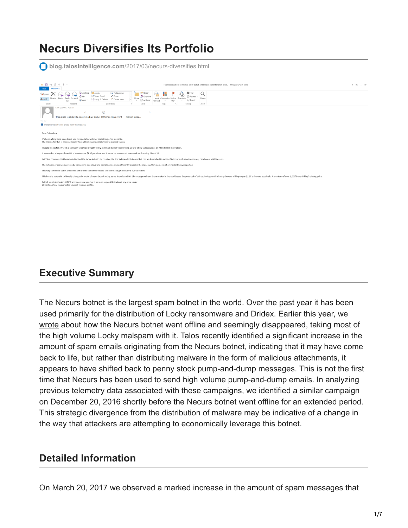# **Necurs Diversifies Its Portfolio**

**blog.talosintelligence.com**[/2017/03/necurs-diversifies.html](http://blog.talosintelligence.com/2017/03/necurs-diversifies.html)



### **Executive Summary**

The Necurs botnet is the largest spam botnet in the world. Over the past year it has been used primarily for the distribution of Locky ransomware and Dridex. Earlier this year, we [wrote](http://blog.talosintelligence.com/2017/01/locky-struggles.html) about how the Necurs botnet went offline and seemingly disappeared, taking most of the high volume Locky malspam with it. Talos recently identified a significant increase in the amount of spam emails originating from the Necurs botnet, indicating that it may have come back to life, but rather than distributing malware in the form of malicious attachments, it appears to have shifted back to penny stock pump-and-dump messages. This is not the first time that Necurs has been used to send high volume pump-and-dump emails. In analyzing previous telemetry data associated with these campaigns, we identified a similar campaign on December 20, 2016 shortly before the Necurs botnet went offline for an extended period. This strategic divergence from the distribution of malware may be indicative of a change in the way that attackers are attempting to economically leverage this botnet.

### **Detailed Information**

On March 20, 2017 we observed a marked increase in the amount of spam messages that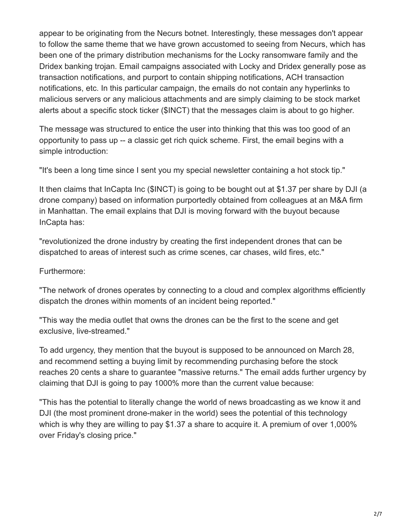appear to be originating from the Necurs botnet. Interestingly, these messages don't appear to follow the same theme that we have grown accustomed to seeing from Necurs, which has been one of the primary distribution mechanisms for the Locky ransomware family and the Dridex banking trojan. Email campaigns associated with Locky and Dridex generally pose as transaction notifications, and purport to contain shipping notifications, ACH transaction notifications, etc. In this particular campaign, the emails do not contain any hyperlinks to malicious servers or any malicious attachments and are simply claiming to be stock market alerts about a specific stock ticker (\$INCT) that the messages claim is about to go higher.

The message was structured to entice the user into thinking that this was too good of an opportunity to pass up -- a classic get rich quick scheme. First, the email begins with a simple introduction:

"It's been a long time since I sent you my special newsletter containing a hot stock tip."

It then claims that InCapta Inc (\$INCT) is going to be bought out at \$1.37 per share by DJI (a drone company) based on information purportedly obtained from colleagues at an M&A firm in Manhattan. The email explains that DJI is moving forward with the buyout because InCapta has:

"revolutionized the drone industry by creating the first independent drones that can be dispatched to areas of interest such as crime scenes, car chases, wild fires, etc."

#### Furthermore:

"The network of drones operates by connecting to a cloud and complex algorithms efficiently dispatch the drones within moments of an incident being reported."

"This way the media outlet that owns the drones can be the first to the scene and get exclusive, live-streamed."

To add urgency, they mention that the buyout is supposed to be announced on March 28, and recommend setting a buying limit by recommending purchasing before the stock reaches 20 cents a share to guarantee "massive returns." The email adds further urgency by claiming that DJI is going to pay 1000% more than the current value because:

"This has the potential to literally change the world of news broadcasting as we know it and DJI (the most prominent drone-maker in the world) sees the potential of this technology which is why they are willing to pay \$1.37 a share to acquire it. A premium of over 1,000% over Friday's closing price."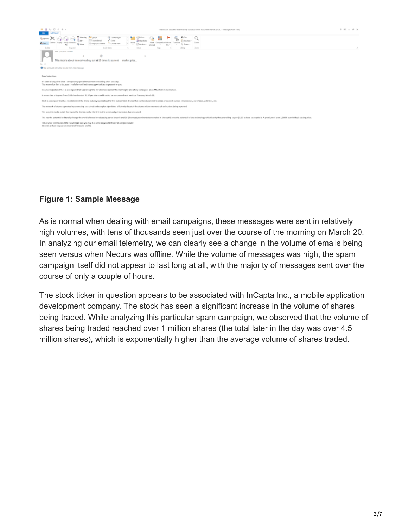

#### **Figure 1: Sample Message**

As is normal when dealing with email campaigns, these messages were sent in relatively high volumes, with tens of thousands seen just over the course of the morning on March 20. In analyzing our email telemetry, we can clearly see a change in the volume of emails being seen versus when Necurs was offline. While the volume of messages was high, the spam campaign itself did not appear to last long at all, with the majority of messages sent over the course of only a couple of hours.

The stock ticker in question appears to be associated with InCapta Inc., a mobile application development company. The stock has seen a significant increase in the volume of shares being traded. While analyzing this particular spam campaign, we observed that the volume of shares being traded reached over 1 million shares (the total later in the day was over 4.5 million shares), which is exponentially higher than the average volume of shares traded.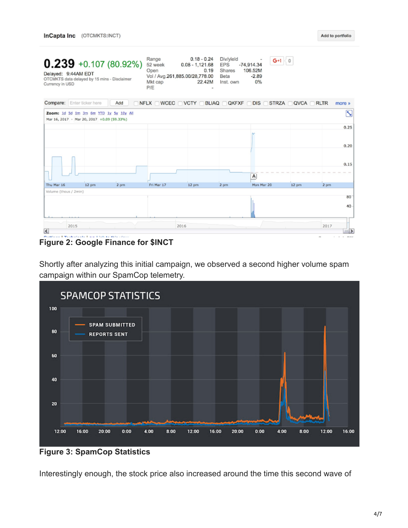$G+1 < 0$ 

 $-2.89$ 

0%

| $0.239 +0.107(80.92%)$                       | Range                   | 0.1<br>$0.08 - 1$ |
|----------------------------------------------|-------------------------|-------------------|
| Delayed: 9:44AM EDT                          | Open                    |                   |
| OTCMKTS data delayed by 15 mins - Disclaimer | Vol / Avg.261,885.00/28 |                   |
| Currency in USD                              | Mkt cap                 |                   |

8 - 0.24 Div/yield 1,121.68 EPS -74,914.34  $0.19$ Shares 106.52M 3,778.00 Beta 22.42M Inst. own Mkt cap **P/E** 

|                 | <b>Compare:</b> Enter ticker here                                                    | Add  |            |       |      | □ NFLX □ WCEC □ VCTY □ BLIAQ □ QKFXF □ DIS □ STRZA □ QVCA □ RLTR |       |      | more »         |
|-----------------|--------------------------------------------------------------------------------------|------|------------|-------|------|------------------------------------------------------------------|-------|------|----------------|
|                 | Zoom: 1d 5d 1m 3m 6m YTD 1y 5y 10y All<br>Mar 16, 2017 - Mar 20, 2017 +0.09 (59.33%) |      |            |       |      |                                                                  |       |      | N              |
|                 |                                                                                      |      |            |       |      |                                                                  |       |      | 0.25           |
|                 |                                                                                      |      |            |       |      |                                                                  |       |      |                |
|                 |                                                                                      |      |            |       |      |                                                                  |       |      | 0.20           |
|                 |                                                                                      |      |            |       |      |                                                                  |       |      |                |
|                 |                                                                                      |      |            |       |      |                                                                  |       |      | 0.15           |
|                 |                                                                                      |      |            |       |      | А                                                                |       |      |                |
| Thu Mar 16      | 12 pm                                                                                | 2 pm | Fri Mar 17 | 12 pm | 2 pm | Mon Mar 20                                                       | 12 pm | 2 pm |                |
|                 | Volume (thous / 2min)                                                                |      |            |       |      |                                                                  |       |      |                |
|                 |                                                                                      |      |            |       |      |                                                                  |       |      | $80 -$         |
|                 |                                                                                      |      |            |       |      |                                                                  |       |      | $40 -$         |
|                 |                                                                                      |      |            |       |      |                                                                  |       |      |                |
|                 | 2015                                                                                 |      |            | 2016  |      |                                                                  |       | 2017 |                |
| $\vert$ $\vert$ |                                                                                      |      |            |       |      |                                                                  |       |      | $\blacksquare$ |

#### **Figure 2: Google Finance for \$INCT**

Shortly after analyzing this initial campaign, we observed a second higher volume spam campaign within our SpamCop telemetry.



**Figure 3: SpamCop Statistics**

Interestingly enough, the stock price also increased around the time this second wave of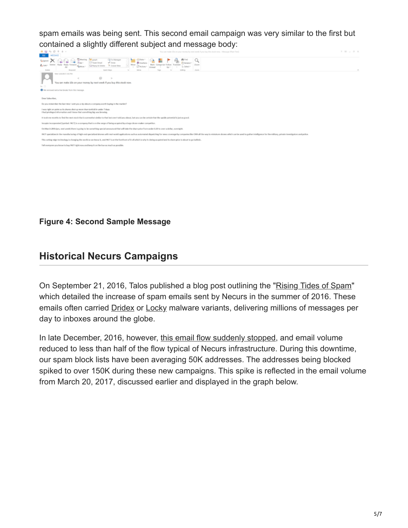spam emails was being sent. This second email campaign was very similar to the first but contained a slightly different subject and message body:



#### **Figure 4: Second Sample Message**

### **Historical Necurs Campaigns**

On September 21, 2016, Talos published a blog post outlining the "[Rising Tides of Spam"](http://blog.talosintelligence.com/2016/09/the-rising-tides-of-spam.html) which detailed the increase of spam emails sent by Necurs in the summer of 2016. These emails often carried **[Dridex](https://blogs.cisco.com/talos/spam-dridex) or [Locky](http://blog.talosintel.com/2016/06/gotta-be-swift-for-this-spam-campaign.html) malware variants**, delivering millions of messages per day to inboxes around the globe.

In late December, 2016, however, [this email flow suddenly stopped,](http://blog.talosintelligence.com/2017/01/locky-struggles.html) and email volume reduced to less than half of the flow typical of Necurs infrastructure. During this downtime, our spam block lists have been averaging 50K addresses. The addresses being blocked spiked to over 150K during these new campaigns. This spike is reflected in the email volume from March 20, 2017, discussed earlier and displayed in the graph below.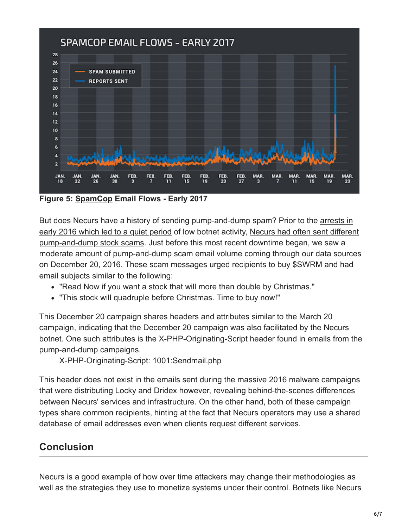

**Figure 5: [SpamCop](https://www.spamcop.net/spamgraph.shtml?spamyear) Email Flows - Early 2017**

[But does Necurs have a history of sending pump-and-dump spam? Prior to the arrests in](http://blog.talosintelligence.com/2016/07/lurk-crimeware-connections.html) [early 2016 which led to a quiet period of low botnet activity, Necurs had often sent different](http://blog.talosintelligence.com/2016/09/the-rising-tides-of-spam.html) pump-and-dump stock scams. Just before this most recent downtime began, we saw a moderate amount of pump-and-dump scam email volume coming through our data sources on December 20, 2016. These scam messages urged recipients to buy \$SWRM and had email subjects similar to the following:

- "Read Now if you want a stock that will more than double by Christmas."
- "This stock will quadruple before Christmas. Time to buy now!"

This December 20 campaign shares headers and attributes similar to the March 20 campaign, indicating that the December 20 campaign was also facilitated by the Necurs botnet. One such attributes is the X-PHP-Originating-Script header found in emails from the pump-and-dump campaigns.

X-PHP-Originating-Script: 1001:Sendmail.php

This header does not exist in the emails sent during the massive 2016 malware campaigns that were distributing Locky and Dridex however, revealing behind-the-scenes differences between Necurs' services and infrastructure. On the other hand, both of these campaign types share common recipients, hinting at the fact that Necurs operators may use a shared database of email addresses even when clients request different services.

## **Conclusion**

Necurs is a good example of how over time attackers may change their methodologies as well as the strategies they use to monetize systems under their control. Botnets like Necurs